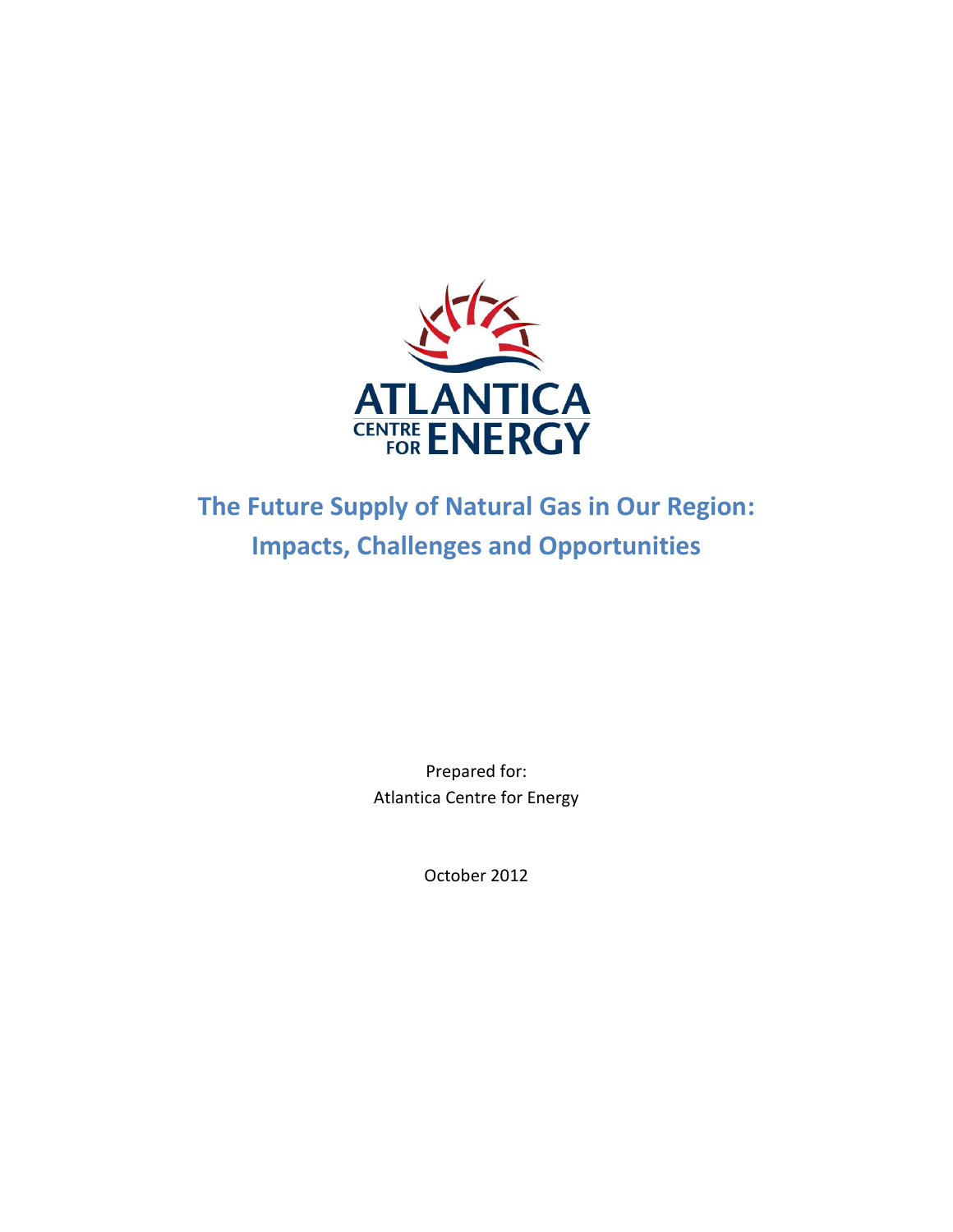

# **The Future Supply of Natural Gas in Our Region: Impacts, Challenges and Opportunities**

Prepared for: Atlantica Centre for Energy

October 2012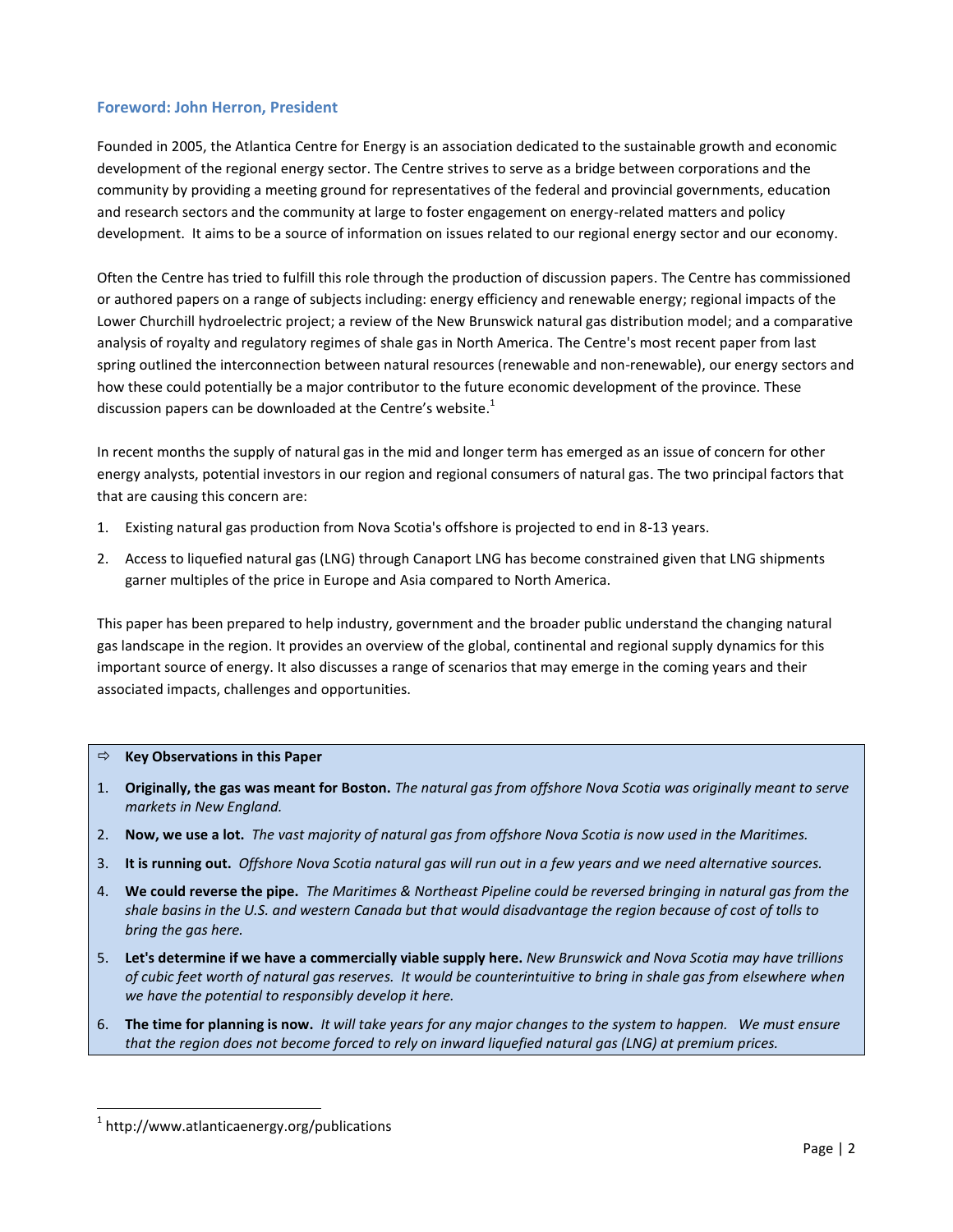## **Foreword: John Herron, President**

Founded in 2005, the Atlantica Centre for Energy is an association dedicated to the sustainable growth and economic development of the regional energy sector. The Centre strives to serve as a bridge between corporations and the community by providing a meeting ground for representatives of the federal and provincial governments, education and research sectors and the community at large to foster engagement on energy-related matters and policy development. It aims to be a source of information on issues related to our regional energy sector and our economy.

Often the Centre has tried to fulfill this role through the production of discussion papers. The Centre has commissioned or authored papers on a range of subjects including: energy efficiency and renewable energy; regional impacts of the Lower Churchill hydroelectric project; a review of the New Brunswick natural gas distribution model; and a comparative analysis of royalty and regulatory regimes of shale gas in North America. The Centre's most recent paper from last spring outlined the interconnection between natural resources (renewable and non-renewable), our energy sectors and how these could potentially be a major contributor to the future economic development of the province. These discussion papers can be downloaded at the Centre's website.<sup>1</sup>

In recent months the supply of natural gas in the mid and longer term has emerged as an issue of concern for other energy analysts, potential investors in our region and regional consumers of natural gas. The two principal factors that that are causing this concern are:

- 1. Existing natural gas production from Nova Scotia's offshore is projected to end in 8-13 years.
- 2. Access to liquefied natural gas (LNG) through Canaport LNG has become constrained given that LNG shipments garner multiples of the price in Europe and Asia compared to North America.

This paper has been prepared to help industry, government and the broader public understand the changing natural gas landscape in the region. It provides an overview of the global, continental and regional supply dynamics for this important source of energy. It also discusses a range of scenarios that may emerge in the coming years and their associated impacts, challenges and opportunities.

#### **Key Observations in this Paper**

- 1. **Originally, the gas was meant for Boston.** *The natural gas from offshore Nova Scotia was originally meant to serve markets in New England.*
- 2. **Now, we use a lot.** *The vast majority of natural gas from offshore Nova Scotia is now used in the Maritimes.*
- 3. **It is running out.** *Offshore Nova Scotia natural gas will run out in a few years and we need alternative sources.*
- 4. **We could reverse the pipe.** *The Maritimes & Northeast Pipeline could be reversed bringing in natural gas from the shale basins in the U.S. and western Canada but that would disadvantage the region because of cost of tolls to bring the gas here.*
- 5. **Let's determine if we have a commercially viable supply here.** *New Brunswick and Nova Scotia may have trillions of cubic feet worth of natural gas reserves. It would be counterintuitive to bring in shale gas from elsewhere when we have the potential to responsibly develop it here.*
- 6. **The time for planning is now.** *It will take years for any major changes to the system to happen. We must ensure that the region does not become forced to rely on inward liquefied natural gas (LNG) at premium prices.*

 $\overline{a}$ 

<sup>1</sup> http://www.atlanticaenergy.org/publications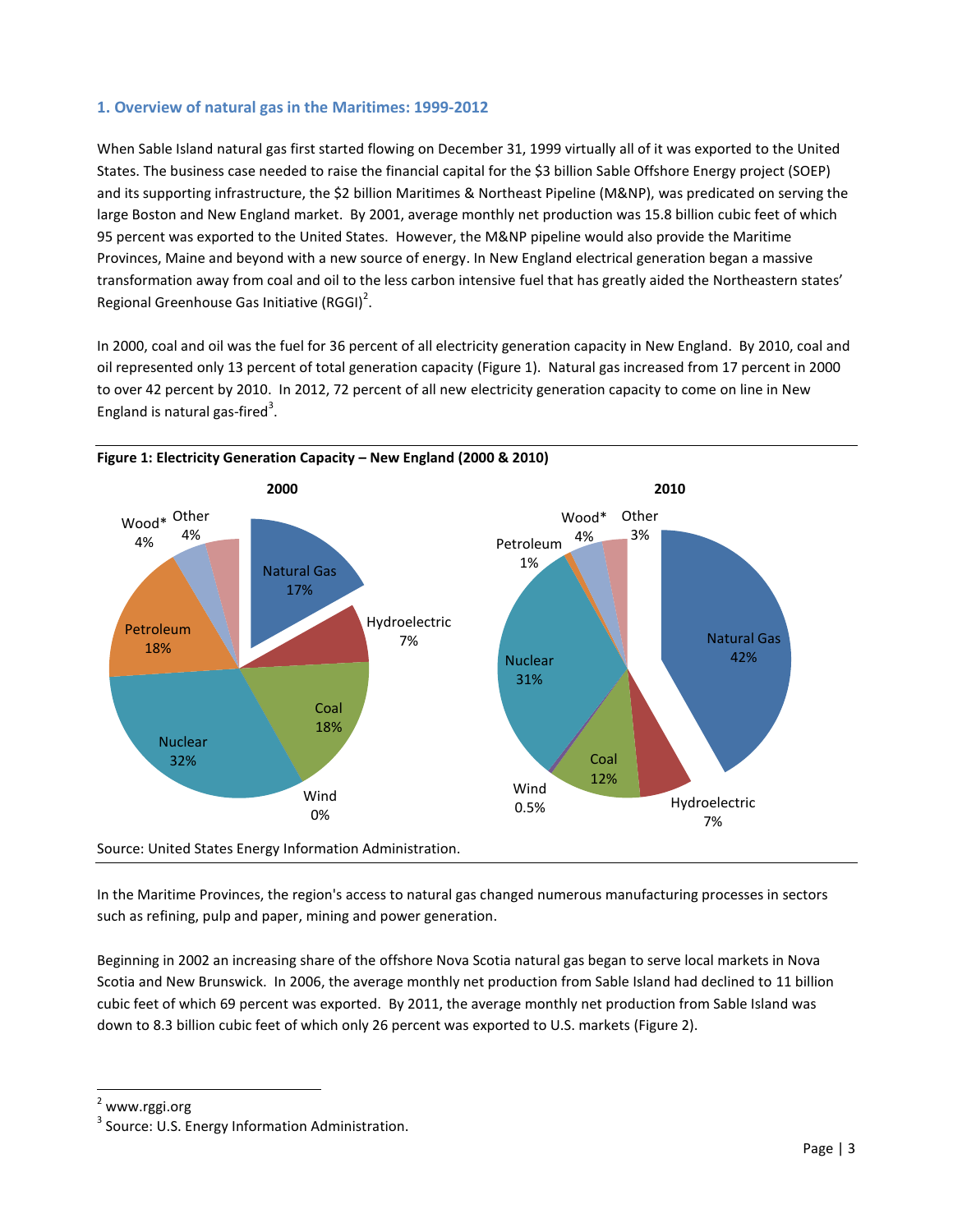# **1. Overview of natural gas in the Maritimes: 1999-2012**

When Sable Island natural gas first started flowing on December 31, 1999 virtually all of it was exported to the United States. The business case needed to raise the financial capital for the \$3 billion Sable Offshore Energy project (SOEP) and its supporting infrastructure, the \$2 billion Maritimes & Northeast Pipeline (M&NP), was predicated on serving the large Boston and New England market. By 2001, average monthly net production was 15.8 billion cubic feet of which 95 percent was exported to the United States. However, the M&NP pipeline would also provide the Maritime Provinces, Maine and beyond with a new source of energy. In New England electrical generation began a massive transformation away from coal and oil to the less carbon intensive fuel that has greatly aided the Northeastern states' Regional Greenhouse Gas Initiative (RGGI)<sup>2</sup>.

In 2000, coal and oil was the fuel for 36 percent of all electricity generation capacity in New England. By 2010, coal and oil represented only 13 percent of total generation capacity (Figure 1). Natural gas increased from 17 percent in 2000 to over 42 percent by 2010. In 2012, 72 percent of all new electricity generation capacity to come on line in New England is natural gas-fired<sup>3</sup>.



In the Maritime Provinces, the region's access to natural gas changed numerous manufacturing processes in sectors such as refining, pulp and paper, mining and power generation.

Beginning in 2002 an increasing share of the offshore Nova Scotia natural gas began to serve local markets in Nova Scotia and New Brunswick. In 2006, the average monthly net production from Sable Island had declined to 11 billion cubic feet of which 69 percent was exported. By 2011, the average monthly net production from Sable Island was down to 8.3 billion cubic feet of which only 26 percent was exported to U.S. markets (Figure 2).

<sup>2</sup> www.rggi.org

 $\overline{a}$ 

<sup>&</sup>lt;sup>3</sup> Source: U.S. Energy Information Administration.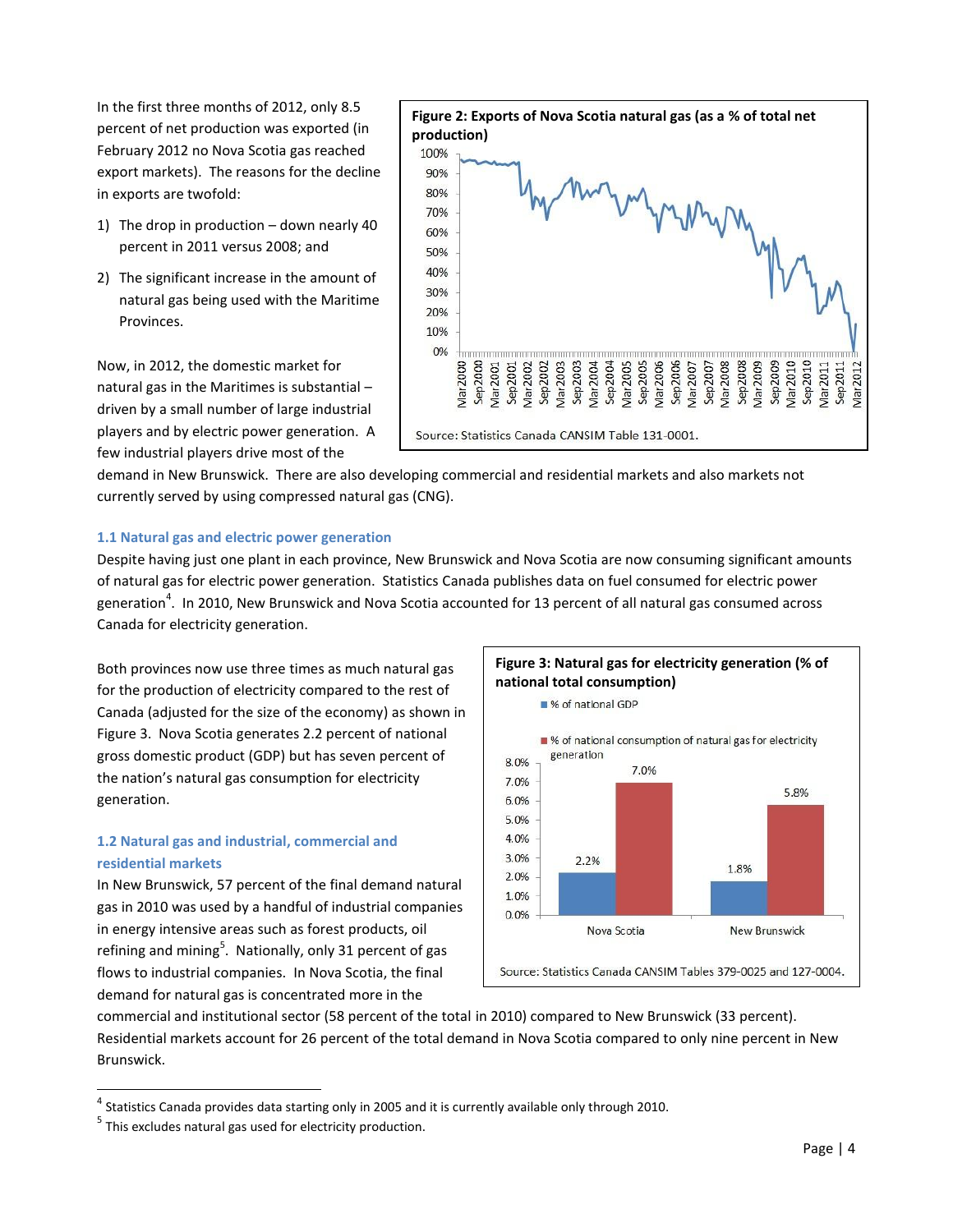In the first three months of 2012, only 8.5 percent of net production was exported (in February 2012 no Nova Scotia gas reached export markets). The reasons for the decline in exports are twofold:

- 1) The drop in production down nearly 40 percent in 2011 versus 2008; and
- 2) The significant increase in the amount of natural gas being used with the Maritime Provinces.

Now, in 2012, the domestic market for natural gas in the Maritimes is substantial – driven by a small number of large industrial players and by electric power generation. A few industrial players drive most of the



demand in New Brunswick. There are also developing commercial and residential markets and also markets not currently served by using compressed natural gas (CNG).

#### **1.1 Natural gas and electric power generation**

Despite having just one plant in each province, New Brunswick and Nova Scotia are now consuming significant amounts of natural gas for electric power generation. Statistics Canada publishes data on fuel consumed for electric power generation<sup>4</sup>. In 2010, New Brunswick and Nova Scotia accounted for 13 percent of all natural gas consumed across Canada for electricity generation.

Both provinces now use three times as much natural gas for the production of electricity compared to the rest of Canada (adjusted for the size of the economy) as shown in Figure 3. Nova Scotia generates 2.2 percent of national gross domestic product (GDP) but has seven percent of the nation's natural gas consumption for electricity generation.

# **1.2 Natural gas and industrial, commercial and residential markets**

In New Brunswick, 57 percent of the final demand natural gas in 2010 was used by a handful of industrial companies in energy intensive areas such as forest products, oil refining and mining<sup>5</sup>. Nationally, only 31 percent of gas flows to industrial companies. In Nova Scotia, the final demand for natural gas is concentrated more in the



commercial and institutional sector (58 percent of the total in 2010) compared to New Brunswick (33 percent). Residential markets account for 26 percent of the total demand in Nova Scotia compared to only nine percent in New Brunswick.

 4 Statistics Canada provides data starting only in 2005 and it is currently available only through 2010.

<sup>&</sup>lt;sup>5</sup> This excludes natural gas used for electricity production.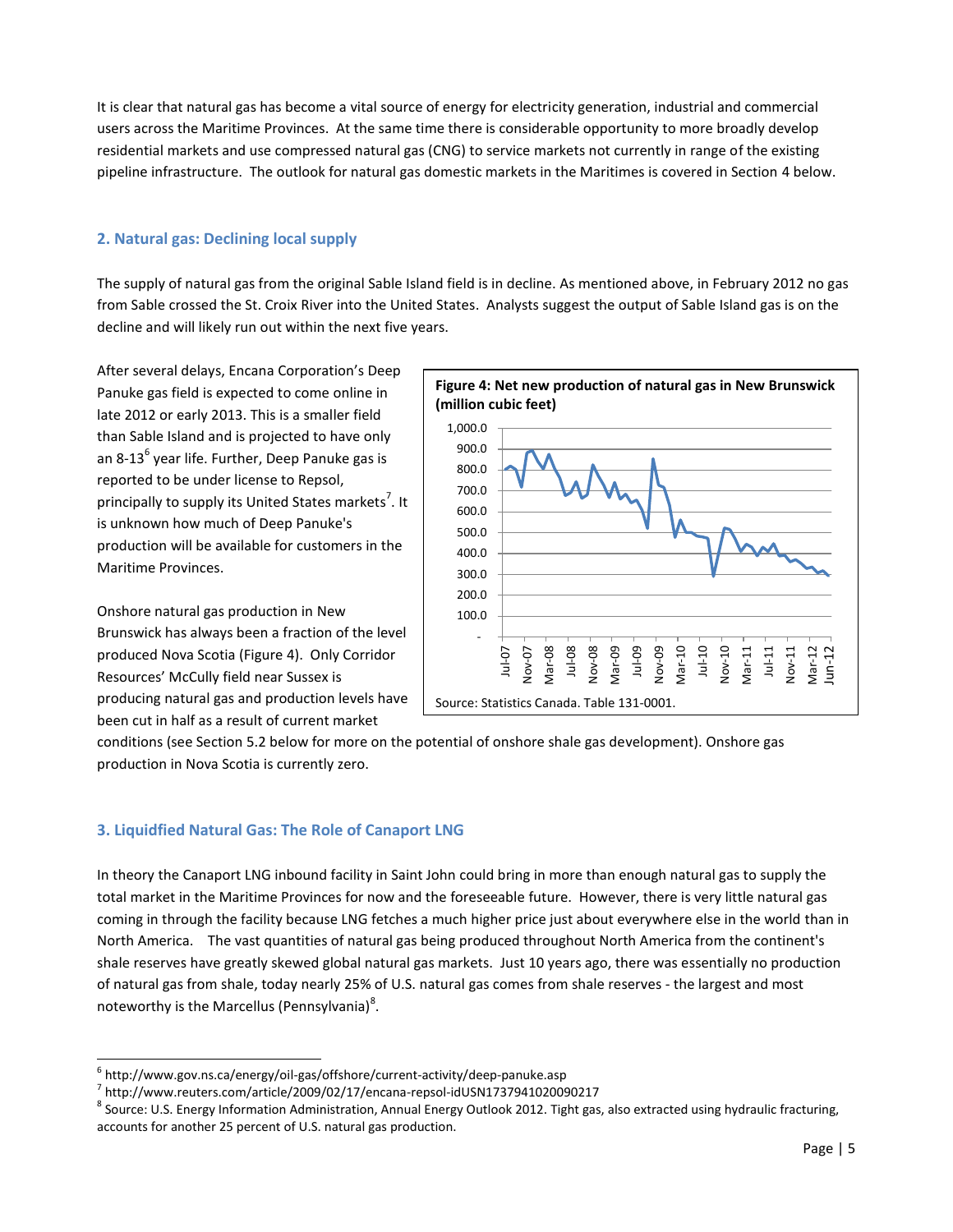It is clear that natural gas has become a vital source of energy for electricity generation, industrial and commercial users across the Maritime Provinces. At the same time there is considerable opportunity to more broadly develop residential markets and use compressed natural gas (CNG) to service markets not currently in range of the existing pipeline infrastructure. The outlook for natural gas domestic markets in the Maritimes is covered in Section 4 below.

# **2. Natural gas: Declining local supply**

The supply of natural gas from the original Sable Island field is in decline. As mentioned above, in February 2012 no gas from Sable crossed the St. Croix River into the United States. Analysts suggest the output of Sable Island gas is on the decline and will likely run out within the next five years.

After several delays, Encana Corporation's Deep Panuke gas field is expected to come online in late 2012 or early 2013. This is a smaller field than Sable Island and is projected to have only an 8-13<sup>6</sup> year life. Further, Deep Panuke gas is reported to be under license to Repsol, principally to supply its United States markets<sup>7</sup>. It is unknown how much of Deep Panuke's production will be available for customers in the Maritime Provinces.

Onshore natural gas production in New Brunswick has always been a fraction of the level produced Nova Scotia (Figure 4). Only Corridor Resources' McCully field near Sussex is producing natural gas and production levels have been cut in half as a result of current market



conditions (see Section 5.2 below for more on the potential of onshore shale gas development). Onshore gas production in Nova Scotia is currently zero.

# **3. Liquidfied Natural Gas: The Role of Canaport LNG**

 $\overline{a}$ 

In theory the Canaport LNG inbound facility in Saint John could bring in more than enough natural gas to supply the total market in the Maritime Provinces for now and the foreseeable future. However, there is very little natural gas coming in through the facility because LNG fetches a much higher price just about everywhere else in the world than in North America. The vast quantities of natural gas being produced throughout North America from the continent's shale reserves have greatly skewed global natural gas markets. Just 10 years ago, there was essentially no production of natural gas from shale, today nearly 25% of U.S. natural gas comes from shale reserves - the largest and most noteworthy is the Marcellus (Pennsylvania)<sup>8</sup>.

<sup>&</sup>lt;sup>6</sup> http://www.gov.ns.ca/energy/oil-gas/offshore/current-activity/deep-panuke.asp

<sup>7</sup> http://www.reuters.com/article/2009/02/17/encana-repsol-idUSN1737941020090217

<sup>&</sup>lt;sup>8</sup> Source: U.S. Energy Information Administration, Annual Energy Outlook 2012. Tight gas, also extracted using hydraulic fracturing, accounts for another 25 percent of U.S. natural gas production.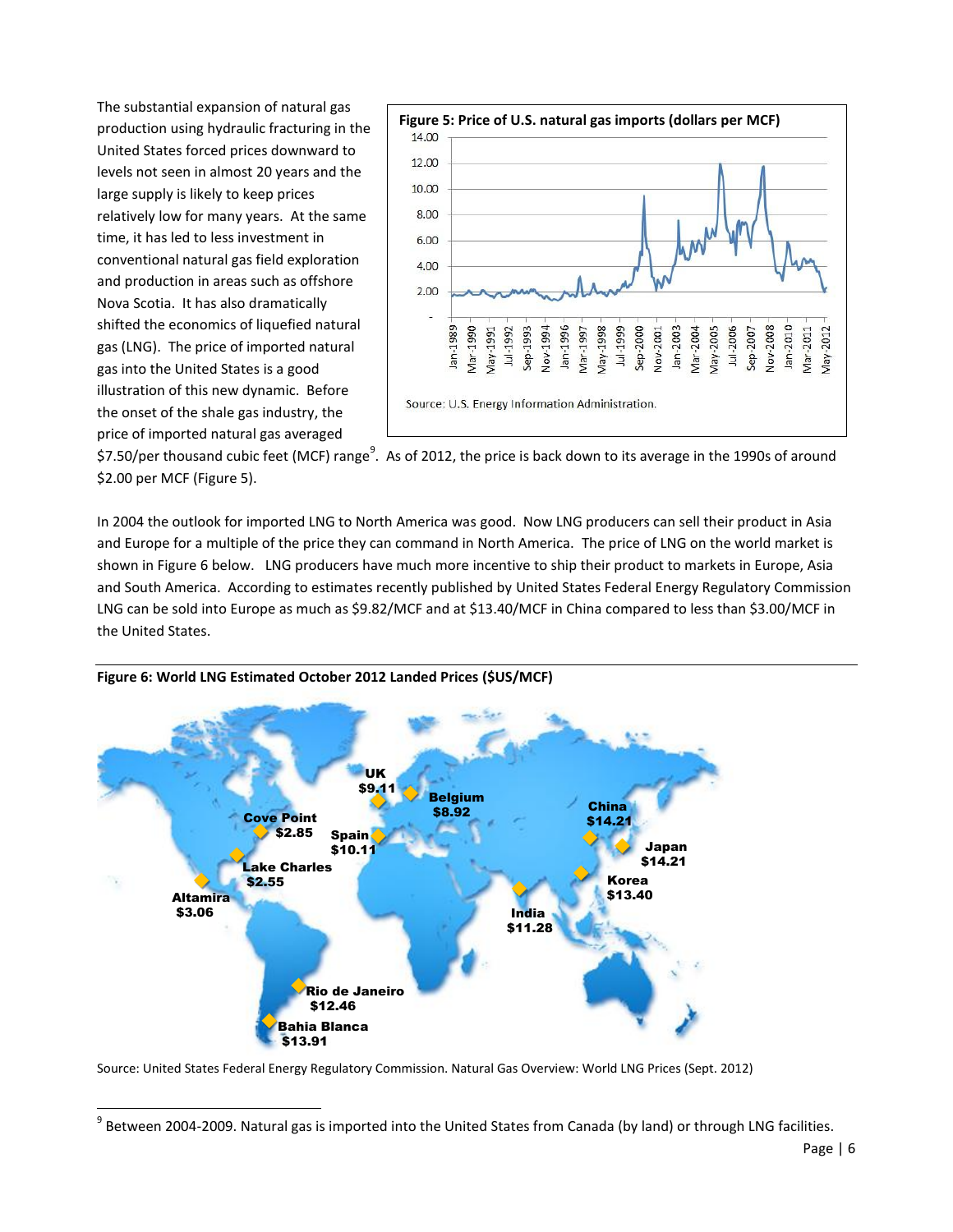The substantial expansion of natural gas production using hydraulic fracturing in the United States forced prices downward to levels not seen in almost 20 years and the large supply is likely to keep prices relatively low for many years. At the same time, it has led to less investment in conventional natural gas field exploration and production in areas such as offshore Nova Scotia. It has also dramatically shifted the economics of liquefied natural gas (LNG). The price of imported natural gas into the United States is a good illustration of this new dynamic. Before the onset of the shale gas industry, the price of imported natural gas averaged

 $\overline{a}$ 



\$7.50/per thousand cubic feet (MCF) range $^9$ . As of 2012, the price is back down to its average in the 1990s of around \$2.00 per MCF (Figure 5).

In 2004 the outlook for imported LNG to North America was good. Now LNG producers can sell their product in Asia and Europe for a multiple of the price they can command in North America. The price of LNG on the world market is shown in Figure 6 below. LNG producers have much more incentive to ship their product to markets in Europe, Asia and South America. According to estimates recently published by United States Federal Energy Regulatory Commission LNG can be sold into Europe as much as \$9.82/MCF and at \$13.40/MCF in China compared to less than \$3.00/MCF in the United States.



#### **Figure 6: World LNG Estimated October 2012 Landed Prices (\$US/MCF)**

Source: United States Federal Energy Regulatory Commission. Natural Gas Overview: World LNG Prices (Sept. 2012)

 $^9$  Between 2004-2009. Natural gas is imported into the United States from Canada (by land) or through LNG facilities.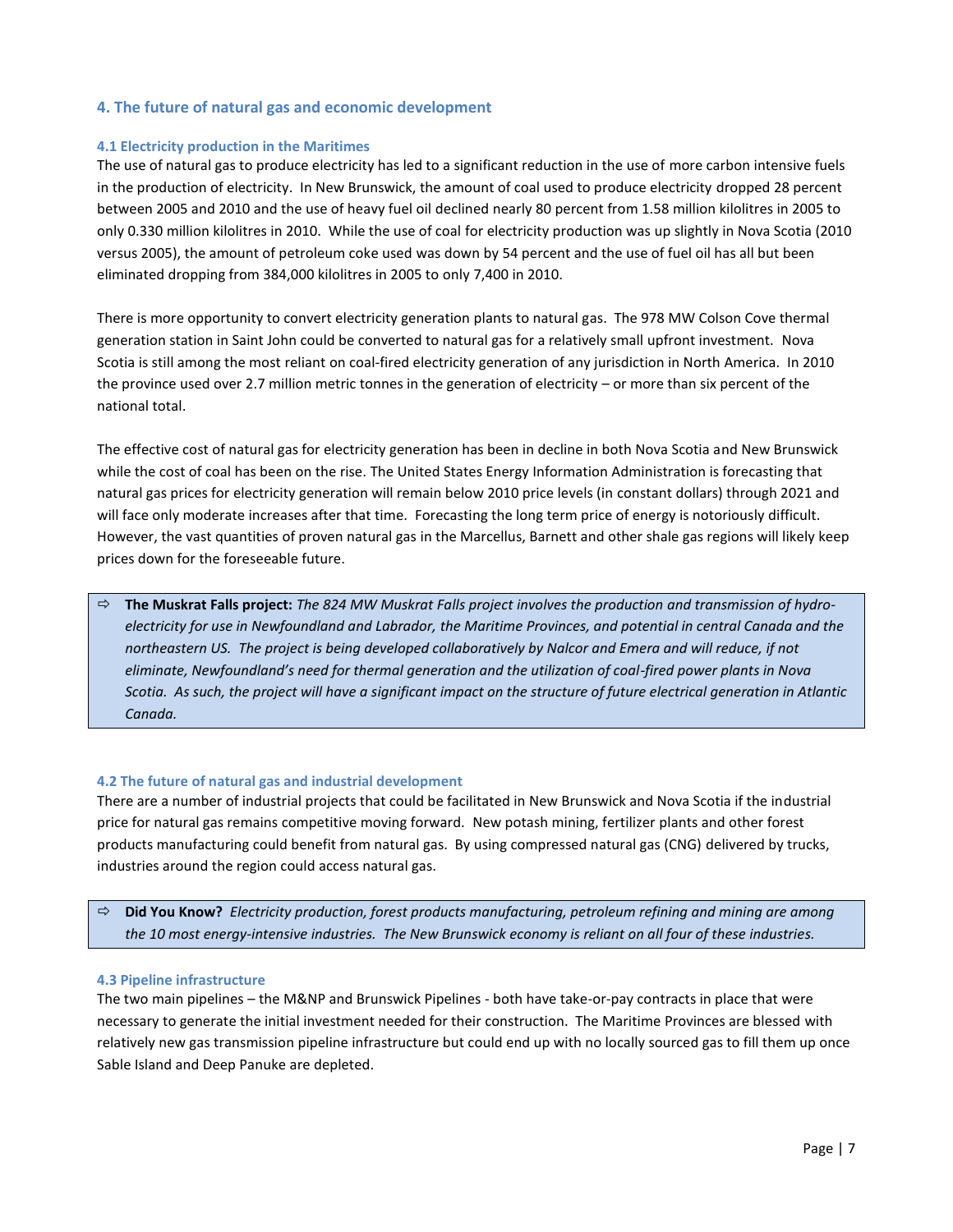# **4. The future of natural gas and economic development**

## **4.1 Electricity production in the Maritimes**

The use of natural gas to produce electricity has led to a significant reduction in the use of more carbon intensive fuels in the production of electricity. In New Brunswick, the amount of coal used to produce electricity dropped 28 percent between 2005 and 2010 and the use of heavy fuel oil declined nearly 80 percent from 1.58 million kilolitres in 2005 to only 0.330 million kilolitres in 2010. While the use of coal for electricity production was up slightly in Nova Scotia (2010 versus 2005), the amount of petroleum coke used was down by 54 percent and the use of fuel oil has all but been eliminated dropping from 384,000 kilolitres in 2005 to only 7,400 in 2010.

There is more opportunity to convert electricity generation plants to natural gas. The 978 MW Colson Cove thermal generation station in Saint John could be converted to natural gas for a relatively small upfront investment. Nova Scotia is still among the most reliant on coal-fired electricity generation of any jurisdiction in North America. In 2010 the province used over 2.7 million metric tonnes in the generation of electricity – or more than six percent of the national total.

The effective cost of natural gas for electricity generation has been in decline in both Nova Scotia and New Brunswick while the cost of coal has been on the rise. The United States Energy Information Administration is forecasting that natural gas prices for electricity generation will remain below 2010 price levels (in constant dollars) through 2021 and will face only moderate increases after that time. Forecasting the long term price of energy is notoriously difficult. However, the vast quantities of proven natural gas in the Marcellus, Barnett and other shale gas regions will likely keep prices down for the foreseeable future.

 **The Muskrat Falls project:** *The 824 MW Muskrat Falls project involves the production and transmission of hydroelectricity for use in Newfoundland and Labrador, the Maritime Provinces, and potential in central Canada and the northeastern US. The project is being developed collaboratively by Nalcor and Emera and will reduce, if not eliminate, Newfoundland's need for thermal generation and the utilization of coal-fired power plants in Nova Scotia. As such, the project will have a significant impact on the structure of future electrical generation in Atlantic Canada.*

#### **4.2 The future of natural gas and industrial development**

There are a number of industrial projects that could be facilitated in New Brunswick and Nova Scotia if the industrial price for natural gas remains competitive moving forward. New potash mining, fertilizer plants and other forest products manufacturing could benefit from natural gas. By using compressed natural gas (CNG) delivered by trucks, industries around the region could access natural gas.

 **Did You Know?** *Electricity production, forest products manufacturing, petroleum refining and mining are among the 10 most energy-intensive industries. The New Brunswick economy is reliant on all four of these industries.*

#### **4.3 Pipeline infrastructure**

The two main pipelines – the M&NP and Brunswick Pipelines - both have take-or-pay contracts in place that were necessary to generate the initial investment needed for their construction. The Maritime Provinces are blessed with relatively new gas transmission pipeline infrastructure but could end up with no locally sourced gas to fill them up once Sable Island and Deep Panuke are depleted.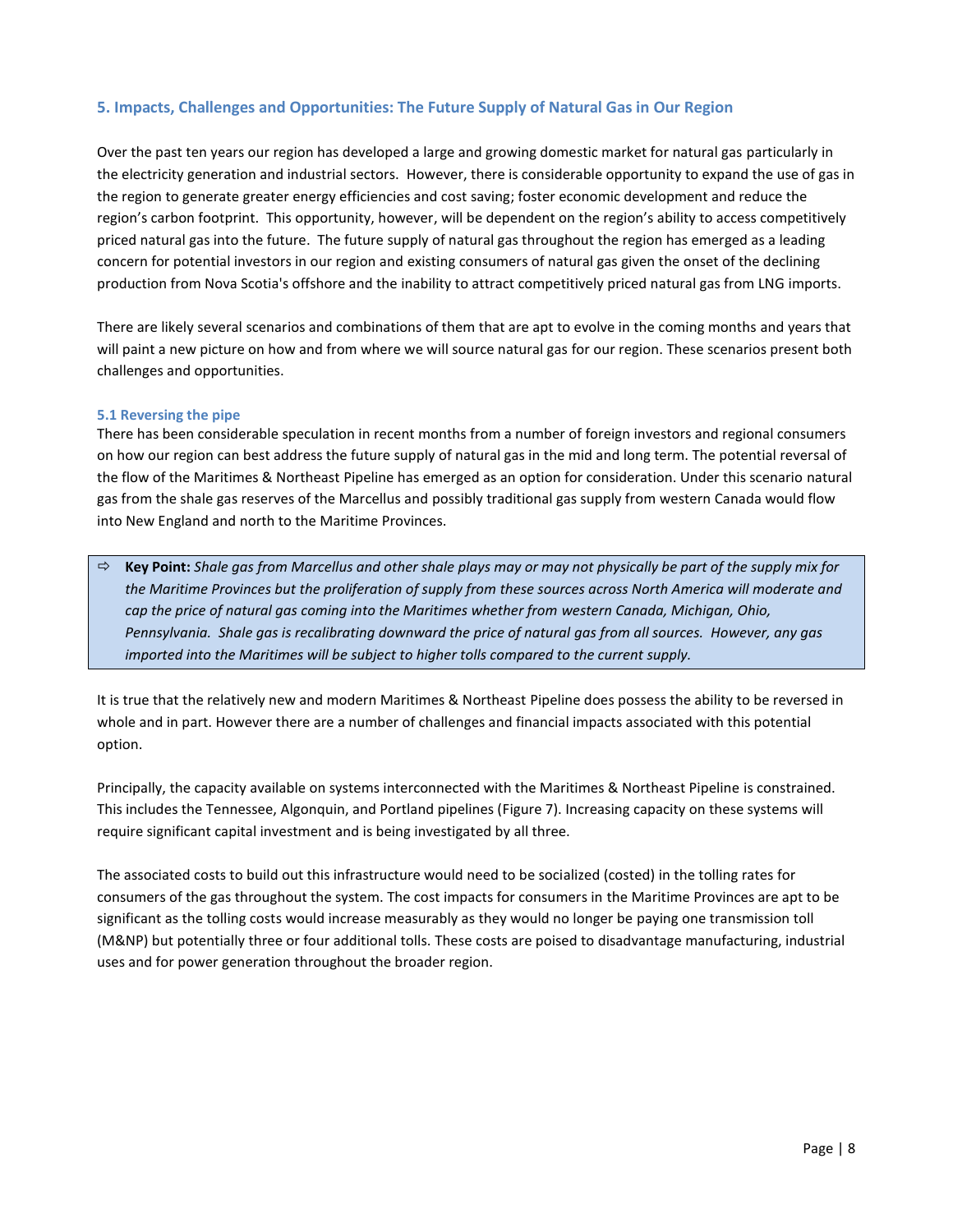# **5. Impacts, Challenges and Opportunities: The Future Supply of Natural Gas in Our Region**

Over the past ten years our region has developed a large and growing domestic market for natural gas particularly in the electricity generation and industrial sectors. However, there is considerable opportunity to expand the use of gas in the region to generate greater energy efficiencies and cost saving; foster economic development and reduce the region's carbon footprint. This opportunity, however, will be dependent on the region's ability to access competitively priced natural gas into the future. The future supply of natural gas throughout the region has emerged as a leading concern for potential investors in our region and existing consumers of natural gas given the onset of the declining production from Nova Scotia's offshore and the inability to attract competitively priced natural gas from LNG imports.

There are likely several scenarios and combinations of them that are apt to evolve in the coming months and years that will paint a new picture on how and from where we will source natural gas for our region. These scenarios present both challenges and opportunities.

## **5.1 Reversing the pipe**

There has been considerable speculation in recent months from a number of foreign investors and regional consumers on how our region can best address the future supply of natural gas in the mid and long term. The potential reversal of the flow of the Maritimes & Northeast Pipeline has emerged as an option for consideration. Under this scenario natural gas from the shale gas reserves of the Marcellus and possibly traditional gas supply from western Canada would flow into New England and north to the Maritime Provinces.

 **Key Point:** *Shale gas from Marcellus and other shale plays may or may not physically be part of the supply mix for the Maritime Provinces but the proliferation of supply from these sources across North America will moderate and cap the price of natural gas coming into the Maritimes whether from western Canada, Michigan, Ohio, Pennsylvania. Shale gas is recalibrating downward the price of natural gas from all sources. However, any gas imported into the Maritimes will be subject to higher tolls compared to the current supply.*

It is true that the relatively new and modern Maritimes & Northeast Pipeline does possess the ability to be reversed in whole and in part. However there are a number of challenges and financial impacts associated with this potential option.

Principally, the capacity available on systems interconnected with the Maritimes & Northeast Pipeline is constrained. This includes the Tennessee, Algonquin, and Portland pipelines (Figure 7). Increasing capacity on these systems will require significant capital investment and is being investigated by all three.

The associated costs to build out this infrastructure would need to be socialized (costed) in the tolling rates for consumers of the gas throughout the system. The cost impacts for consumers in the Maritime Provinces are apt to be significant as the tolling costs would increase measurably as they would no longer be paying one transmission toll (M&NP) but potentially three or four additional tolls. These costs are poised to disadvantage manufacturing, industrial uses and for power generation throughout the broader region.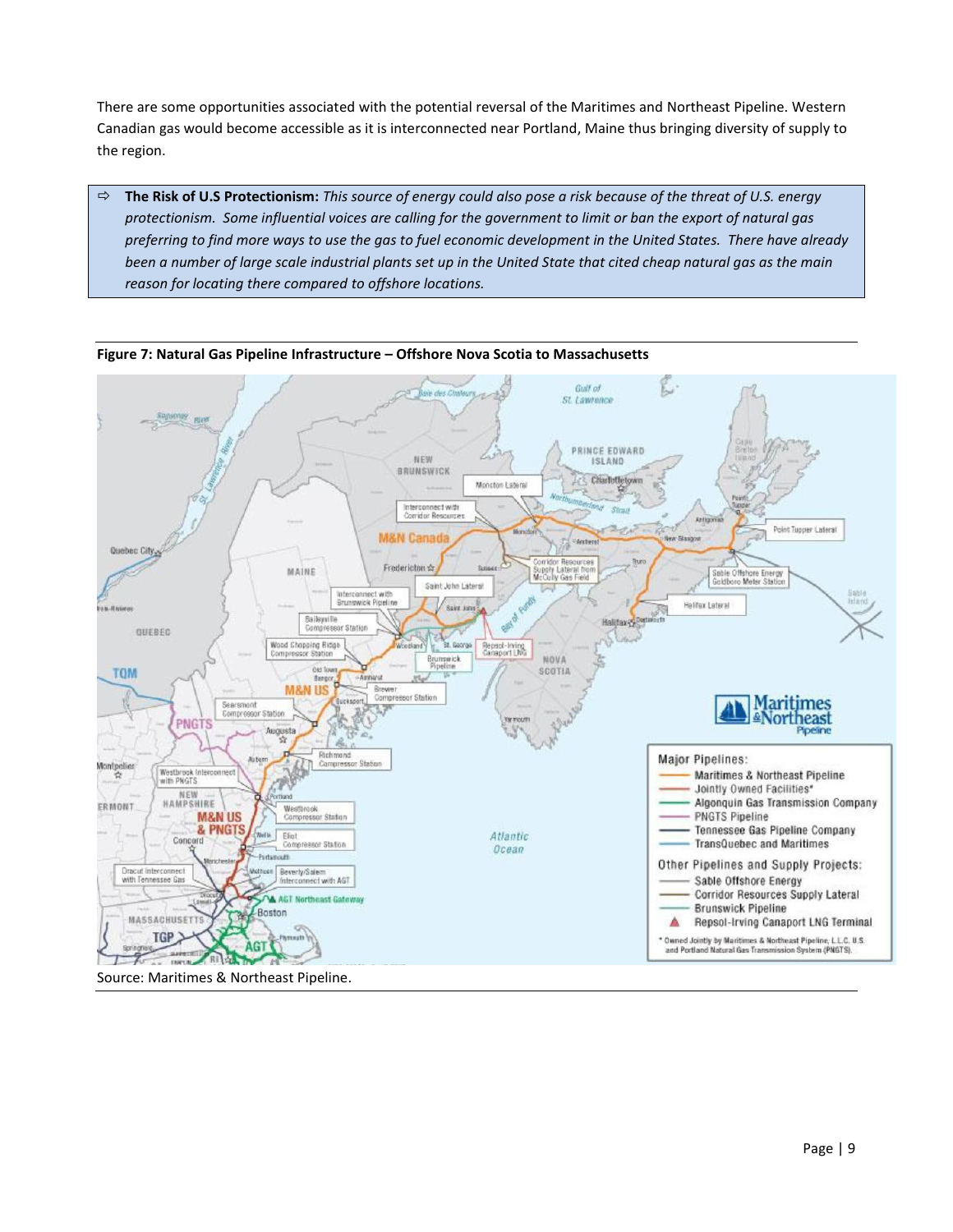There are some opportunities associated with the potential reversal of the Maritimes and Northeast Pipeline. Western Canadian gas would become accessible as it is interconnected near Portland, Maine thus bringing diversity of supply to the region.

 **The Risk of U.S Protectionism:** *This source of energy could also pose a risk because of the threat of U.S. energy protectionism. Some influential voices are calling for the government to limit or ban the export of natural gas preferring to find more ways to use the gas to fuel economic development in the United States. There have already been a number of large scale industrial plants set up in the United State that cited cheap natural gas as the main reason for locating there compared to offshore locations.* 



**Figure 7: Natural Gas Pipeline Infrastructure – Offshore Nova Scotia to Massachusetts**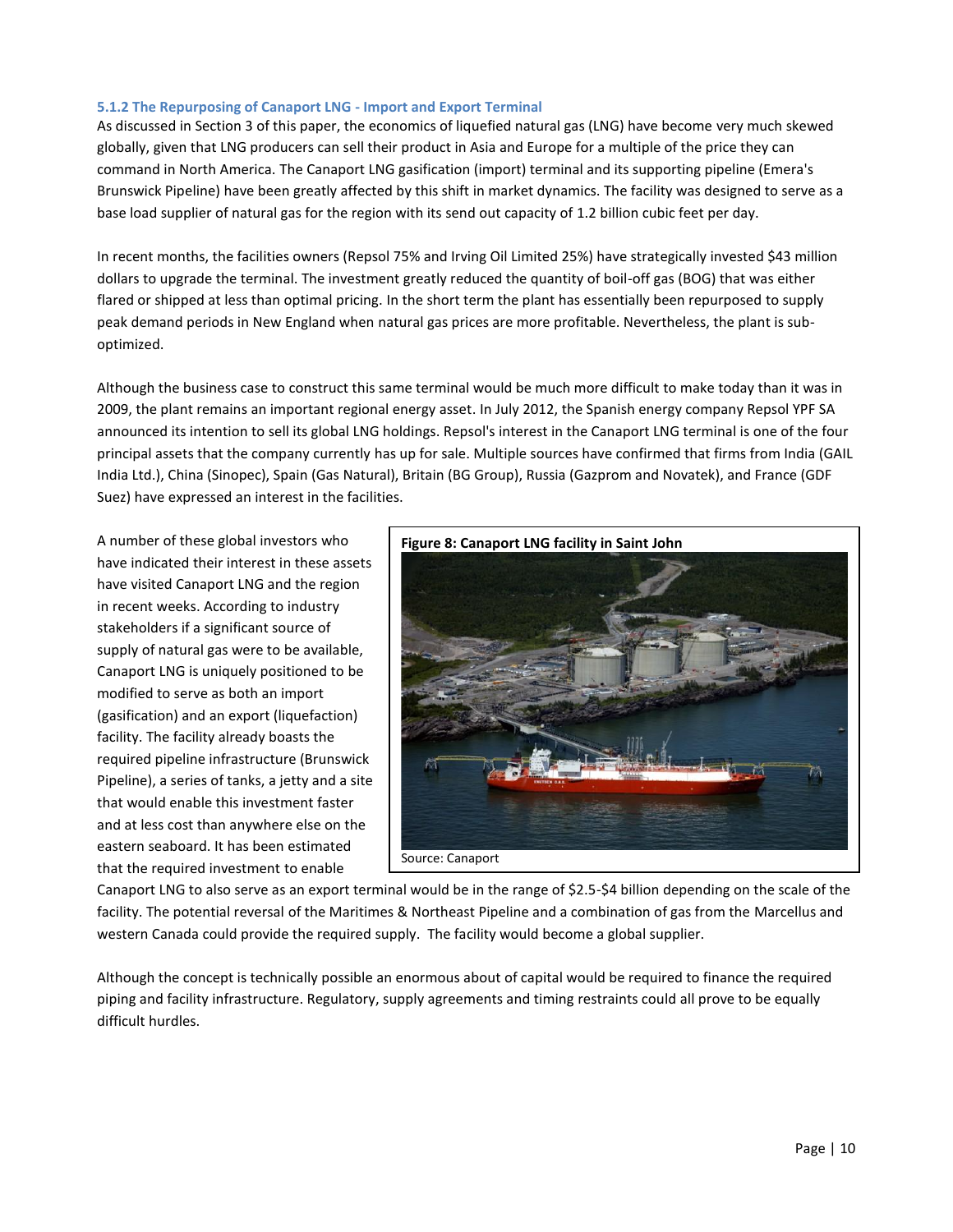## **5.1.2 The Repurposing of Canaport LNG - Import and Export Terminal**

As discussed in Section 3 of this paper, the economics of liquefied natural gas (LNG) have become very much skewed globally, given that LNG producers can sell their product in Asia and Europe for a multiple of the price they can command in North America. The Canaport LNG gasification (import) terminal and its supporting pipeline (Emera's Brunswick Pipeline) have been greatly affected by this shift in market dynamics. The facility was designed to serve as a base load supplier of natural gas for the region with its send out capacity of 1.2 billion cubic feet per day.

In recent months, the facilities owners (Repsol 75% and Irving Oil Limited 25%) have strategically invested \$43 million dollars to upgrade the terminal. The investment greatly reduced the quantity of boil-off gas (BOG) that was either flared or shipped at less than optimal pricing. In the short term the plant has essentially been repurposed to supply peak demand periods in New England when natural gas prices are more profitable. Nevertheless, the plant is suboptimized.

Although the business case to construct this same terminal would be much more difficult to make today than it was in 2009, the plant remains an important regional energy asset. In July 2012, the Spanish energy company Repsol YPF SA announced its intention to sell its global LNG holdings. Repsol's interest in the Canaport LNG terminal is one of the four principal assets that the company currently has up for sale. Multiple sources have confirmed that firms from India (GAIL India Ltd.), China (Sinopec), Spain (Gas Natural), Britain (BG Group), Russia (Gazprom and Novatek), and France (GDF Suez) have expressed an interest in the facilities.

A number of these global investors who have indicated their interest in these assets have visited Canaport LNG and the region in recent weeks. According to industry stakeholders if a significant source of supply of natural gas were to be available, Canaport LNG is uniquely positioned to be modified to serve as both an import (gasification) and an export (liquefaction) facility. The facility already boasts the required pipeline infrastructure (Brunswick Pipeline), a series of tanks, a jetty and a site that would enable this investment faster and at less cost than anywhere else on the eastern seaboard. It has been estimated that the required investment to enable



Canaport LNG to also serve as an export terminal would be in the range of \$2.5-\$4 billion depending on the scale of the facility. The potential reversal of the Maritimes & Northeast Pipeline and a combination of gas from the Marcellus and western Canada could provide the required supply. The facility would become a global supplier.

Although the concept is technically possible an enormous about of capital would be required to finance the required piping and facility infrastructure. Regulatory, supply agreements and timing restraints could all prove to be equally difficult hurdles.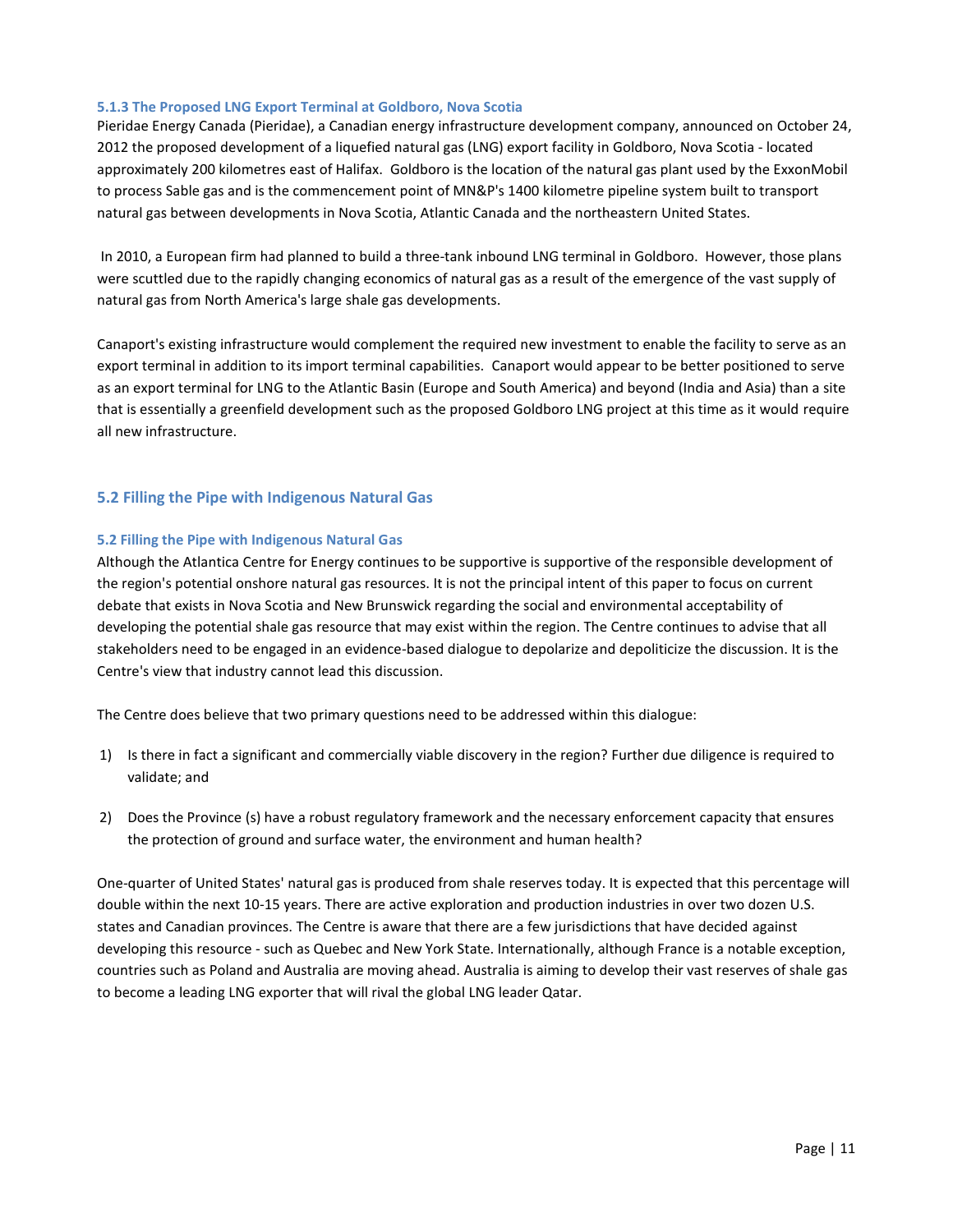## **5.1.3 The Proposed LNG Export Terminal at Goldboro, Nova Scotia**

Pieridae Energy Canada (Pieridae), a Canadian energy infrastructure development company, announced on October 24, 2012 the proposed development of a liquefied natural gas (LNG) export facility in Goldboro, Nova Scotia - located approximately 200 kilometres east of Halifax. Goldboro is the location of the natural gas plant used by the ExxonMobil to process Sable gas and is the commencement point of MN&P's 1400 kilometre pipeline system built to transport natural gas between developments in Nova Scotia, Atlantic Canada and the northeastern United States.

In 2010, a European firm had planned to build a three-tank inbound LNG terminal in Goldboro. However, those plans were scuttled due to the rapidly changing economics of natural gas as a result of the emergence of the vast supply of natural gas from North America's large shale gas developments.

Canaport's existing infrastructure would complement the required new investment to enable the facility to serve as an export terminal in addition to its import terminal capabilities. Canaport would appear to be better positioned to serve as an export terminal for LNG to the Atlantic Basin (Europe and South America) and beyond (India and Asia) than a site that is essentially a greenfield development such as the proposed Goldboro LNG project at this time as it would require all new infrastructure.

## **5.2 Filling the Pipe with Indigenous Natural Gas**

## **5.2 Filling the Pipe with Indigenous Natural Gas**

Although the Atlantica Centre for Energy continues to be supportive is supportive of the responsible development of the region's potential onshore natural gas resources. It is not the principal intent of this paper to focus on current debate that exists in Nova Scotia and New Brunswick regarding the social and environmental acceptability of developing the potential shale gas resource that may exist within the region. The Centre continues to advise that all stakeholders need to be engaged in an evidence-based dialogue to depolarize and depoliticize the discussion. It is the Centre's view that industry cannot lead this discussion.

The Centre does believe that two primary questions need to be addressed within this dialogue:

- 1) Is there in fact a significant and commercially viable discovery in the region? Further due diligence is required to validate; and
- 2) Does the Province (s) have a robust regulatory framework and the necessary enforcement capacity that ensures the protection of ground and surface water, the environment and human health?

One-quarter of United States' natural gas is produced from shale reserves today. It is expected that this percentage will double within the next 10-15 years. There are active exploration and production industries in over two dozen U.S. states and Canadian provinces. The Centre is aware that there are a few jurisdictions that have decided against developing this resource - such as Quebec and New York State. Internationally, although France is a notable exception, countries such as Poland and Australia are moving ahead. Australia is aiming to develop their vast reserves of shale gas to become a leading LNG exporter that will rival the global LNG leader Qatar.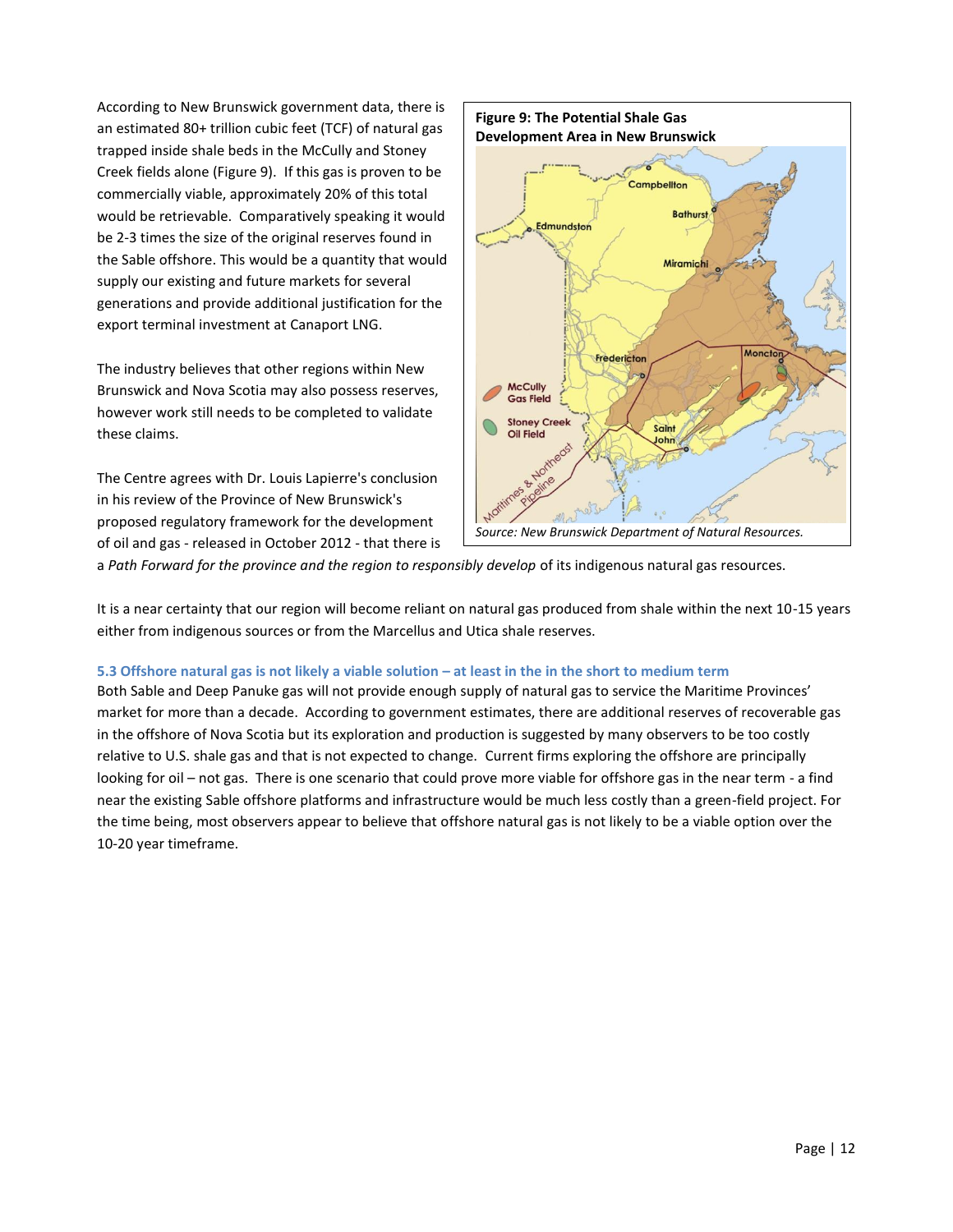According to New Brunswick government data, there is an estimated 80+ trillion cubic feet (TCF) of natural gas trapped inside shale beds in the McCully and Stoney Creek fields alone (Figure 9). If this gas is proven to be commercially viable, approximately 20% of this total would be retrievable. Comparatively speaking it would be 2-3 times the size of the original reserves found in the Sable offshore. This would be a quantity that would supply our existing and future markets for several generations and provide additional justification for the export terminal investment at Canaport LNG.

The industry believes that other regions within New Brunswick and Nova Scotia may also possess reserves, however work still needs to be completed to validate these claims.

The Centre agrees with Dr. Louis Lapierre's conclusion in his review of the Province of New Brunswick's proposed regulatory framework for the development of oil and gas - released in October 2012 - that there is



a *Path Forward for the province and the region to responsibly develop* of its indigenous natural gas resources.

It is a near certainty that our region will become reliant on natural gas produced from shale within the next 10-15 years either from indigenous sources or from the Marcellus and Utica shale reserves.

## **5.3 Offshore natural gas is not likely a viable solution – at least in the in the short to medium term**

Both Sable and Deep Panuke gas will not provide enough supply of natural gas to service the Maritime Provinces' market for more than a decade. According to government estimates, there are additional reserves of recoverable gas in the offshore of Nova Scotia but its exploration and production is suggested by many observers to be too costly relative to U.S. shale gas and that is not expected to change. Current firms exploring the offshore are principally looking for oil – not gas. There is one scenario that could prove more viable for offshore gas in the near term - a find near the existing Sable offshore platforms and infrastructure would be much less costly than a green-field project. For the time being, most observers appear to believe that offshore natural gas is not likely to be a viable option over the 10-20 year timeframe.